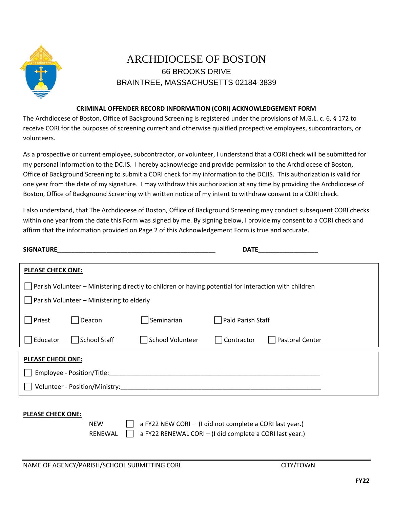

## ARCHDIOCESE OF BOSTON 66 BROOKS DRIVE BRAINTREE, MASSACHUSETTS 02184-3839

## **CRIMINAL OFFENDER RECORD INFORMATION (CORI) ACKNOWLEDGEMENT FORM**

The Archdiocese of Boston, Office of Background Screening is registered under the provisions of M.G.L. c. 6, § 172 to receive CORI for the purposes of screening current and otherwise qualified prospective employees, subcontractors, or volunteers.

As a prospective or current employee, subcontractor, or volunteer, I understand that a CORI check will be submitted for my personal information to the DCJIS. I hereby acknowledge and provide permission to the Archdiocese of Boston, Office of Background Screening to submit a CORI check for my information to the DCJIS. This authorization is valid for one year from the date of my signature. I may withdraw this authorization at any time by providing the Archdiocese of Boston, Office of Background Screening with written notice of my intent to withdraw consent to a CORI check.

I also understand, that The Archdiocese of Boston, Office of Background Screening may conduct subsequent CORI checks within one year from the date this Form was signed by me. By signing below, I provide my consent to a CORI check and affirm that the information provided on Page 2 of this Acknowledgement Form is true and accurate.

| <b>SIGNATURE</b>                                                                                      |                     |                         | <b>DATE</b>                   |  |  |
|-------------------------------------------------------------------------------------------------------|---------------------|-------------------------|-------------------------------|--|--|
| <b>PLEASE CHECK ONE:</b>                                                                              |                     |                         |                               |  |  |
| Parish Volunteer – Ministering directly to children or having potential for interaction with children |                     |                         |                               |  |  |
| $\vert$ Parish Volunteer – Ministering to elderly                                                     |                     |                         |                               |  |  |
| Priest                                                                                                | Deacon              | Seminarian              | Paid Parish Staff             |  |  |
| Educator                                                                                              | <b>School Staff</b> | <b>School Volunteer</b> | Pastoral Center<br>Contractor |  |  |
| <b>PLEASE CHECK ONE:</b>                                                                              |                     |                         |                               |  |  |
| Employee - Position/Title:                                                                            |                     |                         |                               |  |  |
| Volunteer - Position/Ministry:                                                                        |                     |                         |                               |  |  |

## **PLEASE CHECK ONE:**

NEW  $\Box$  a FY22 NEW CORI – (I did not complete a CORI last year.) RENEWAL  $\Box$  a FY22 RENEWAL CORI – (I did complete a CORI last year.)